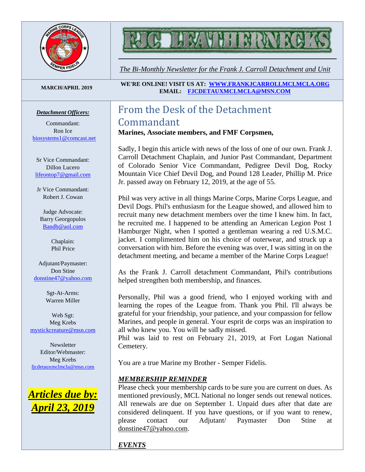



*The Bi-Monthly Newsletter for the Frank J. Carroll Detachment and Unit*

#### *Detachment Officers:*

Commandant: Ron Ice [biosystems1@comcast.net](mailto:biosystems1@comcast.net)

Sr Vice Commandant: Dillon Lucero [lifeontop7@gmail.com](mailto:lifeontop7@gmail.com)

Jr Vice Commandant: Robert J. Cowan

Judge Advocate: Barry Georgopulos [Bandb@aol.com](mailto:Bandb@aol.com)

> Chaplain: Phil Price

Adjutant/Paymaster: Don Stine [donstine47@yahoo.com](mailto:donstine47@yahoo.com)

> Sgt-At-Arms: Warren Miller

Web Sgt: Meg Krebs [mystickcreature@msn.com](mailto:mystickcreature@msn.com)

Newsletter Editor/Webmaster: Meg Krebs [fjcdetauxmclmcla@msn.com](mailto:fjcdetauxmclmcla@msn.com)



**MARCH/APRIL <sup>2019</sup> WE'RE ONLINE! VISIT US AT: [WWW.FRANKJCARROLLMCLMCLA.ORG](http://www.frankjcarrollmclmcla.org/) EMAIL: [FJCDETAUXMCLMCLA@MSN.COM](mailto:fjcdetauxmclmcla@msn.com)** 

# From the Desk of the Detachment Commandant

**Marines, Associate members, and FMF Corpsmen,**

Sadly, I begin this article with news of the loss of one of our own. Frank J. Carroll Detachment Chaplain, and Junior Past Commandant, Department of Colorado Senior Vice Commandant, Pedigree Devil Dog, Rocky Mountain Vice Chief Devil Dog, and Pound 128 Leader, Phillip M. Price Jr. passed away on February 12, 2019, at the age of 55.

Phil was very active in all things Marine Corps, Marine Corps League, and Devil Dogs. Phil's enthusiasm for the League showed, and allowed him to recruit many new detachment members over the time I knew him. In fact, he recruited me. I happened to be attending an American Legion Post 1 Hamburger Night, when I spotted a gentleman wearing a red U.S.M.C. jacket. I complimented him on his choice of outerwear, and struck up a conversation with him. Before the evening was over, I was sitting in on the detachment meeting, and became a member of the Marine Corps League!

As the Frank J. Carroll detachment Commandant, Phil's contributions helped strengthen both membership, and finances.

Personally, Phil was a good friend, who I enjoyed working with and learning the ropes of the League from. Thank you Phil. I'll always be grateful for your friendship, your patience, and your compassion for fellow Marines, and people in general. Your esprit de corps was an inspiration to all who knew you. You will be sadly missed.

Phil was laid to rest on February 21, 2019, at Fort Logan National Cemetery.

You are a true Marine my Brother - Semper Fidelis.

#### *MEMBERSHIP REMINDER*

Please check your membership cards to be sure you are current on dues. As mentioned previously, MCL National no longer sends out renewal notices. All renewals are due on September 1. Unpaid dues after that date are considered delinquent. If you have questions, or if you want to renew, please contact our Adjutant/ Paymaster Don Stine at [donstine47@yahoo.com.](mailto:donstine47@yahoo.com)

*EVENTS*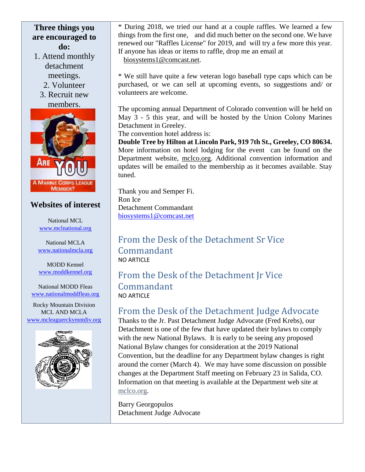### **Three things you are encouraged to do:**

- 1. Attend monthly detachment meetings.
	- 2. Volunteer
	- 3. Recruit new members.



### **Websites of interest**

National MCL [www.mclnational.org](http://www.mclnational.org/)

National MCLA [www.nationalmcla.org](http://www.nationalmcla.org/)

MODD Kennel [www.moddkennel.org](http://www.moddkennel.org/)

National MODD Fleas [www.nationalmoddfleas.org](http://www.nationalmoddfleas.org/)

Rocky Mountain Division MCL AND MCLA [www.mcleaguerckymntdiv.org](http://www.mcleaguerckymntdiv.org/)



\* During 2018, we tried our hand at a couple raffles. We learned a few things from the first one, and did much better on the second one. We have renewed our "Raffles License" for 2019, and will try a few more this year. If anyone has ideas or items to raffle, drop me an email at [biosystems1@comcast.net.](mailto:biosystems1@comcast.net)

\* We still have quite a few veteran logo baseball type caps which can be purchased, or we can sell at upcoming events, so suggestions and/ or volunteers are welcome.

The upcoming annual Department of Colorado convention will be held on May 3 - 5 this year, and will be hosted by the Union Colony Marines Detachment in Greeley.

The convention hotel address is:

**Double Tree by Hilton at Lincoln Park, 919 7th St., Greeley, CO 80634.** More information on hotel lodging for the event can be found on the Department website, [mclco.org.](http://mclco.org/) Additional convention information and updates will be emailed to the membership as it becomes available. Stay tuned.

Thank you and Semper Fi. Ron Ice Detachment Commandant [biosystems1@comcast.net](mailto:biosystems1@comcast.net)

From the Desk of the Detachment Sr Vice Commandant NO ARTICLE

From the Desk of the Detachment Jr Vice Commandant NO ARTICLE

## From the Desk of the Detachment Judge Advocate

Thanks to the Jr. Past Detachment Judge Advocate (Fred Krebs), our Detachment is one of the few that have updated their bylaws to comply with the new National Bylaws. It is early to be seeing any proposed National Bylaw changes for consideration at the 2019 National Convention, but the deadline for any Department bylaw changes is right around the corner (March 4). We may have some discussion on possible changes at the Department Staff meeting on February 23 in Salida, CO. Information on that meeting is available at the Department web site at mclco.org.

Barry Georgopulos Detachment Judge Advocate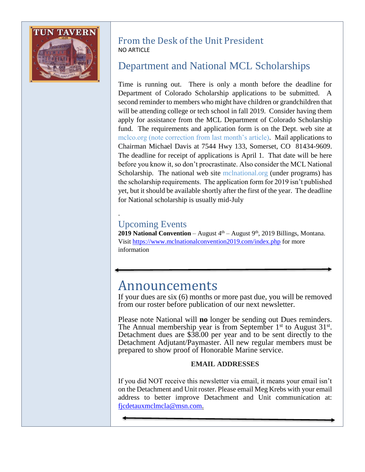

### From the Desk of the Unit President NO ARTICLE

# Department and National MCL Scholarships

Time is running out. There is only a month before the deadline for Department of Colorado Scholarship applications to be submitted. A second reminder to members who might have children or grandchildren that will be attending college or tech school in fall 2019. Consider having them apply for assistance from the MCL Department of Colorado Scholarship fund. The requirements and application form is on the Dept. web site at mclco.org (note correction from last month's article). Mail applications to Chairman Michael Davis at 7544 Hwy 133, Somerset, CO 81434-9609. The deadline for receipt of applications is April 1. That date will be here before you know it, so don't procrastinate. Also consider the MCL National Scholarship. The national web site mclnational.org (under programs) has the scholarship requirements. The application form for 2019 isn't published yet, but it should be available shortly after the first of the year. The deadline for National scholarship is usually mid-July

# Upcoming Events

.

**2019 National Convention** – August  $4<sup>th</sup>$  – August  $9<sup>th</sup>$ , 2019 Billings, Montana. Visit<https://www.mclnationalconvention2019.com/index.php> for more information

# Announcements

If your dues are six (6) months or more past due, you will be removed from our roster before publication of our next newsletter.

Please note National will **no** longer be sending out Dues reminders. The Annual membership year is from September  $1<sup>st</sup>$  to August  $31<sup>st</sup>$ . Detachment dues are \$38.00 per year and to be sent directly to the Detachment Adjutant/Paymaster. All new regular members must be prepared to show proof of Honorable Marine service.

### **EMAIL ADDRESSES**

If you did NOT receive this newsletter via email, it means your email isn't on the Detachment and Unit roster. Please email Meg Krebs with your email address to better improve Detachment and Unit communication at: [fjcdetauxmclmcla@msn.com.](mailto:fjcdetauxmclmcla@msn.com)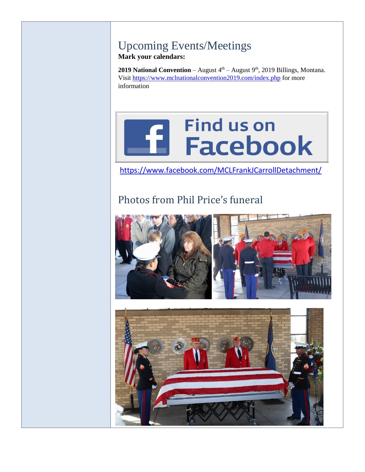### Upcoming Events/Meetings **Mark your calendars:**

**2019 National Convention** – August  $4<sup>th</sup>$  – August  $9<sup>th</sup>$ , 2019 Billings, Montana. Visit<https://www.mclnationalconvention2019.com/index.php> for more information

# **Find us on Ed Facebook**

<https://www.facebook.com/MCLFrankJCarrollDetachment/>

# Photos from Phil Price's funeral